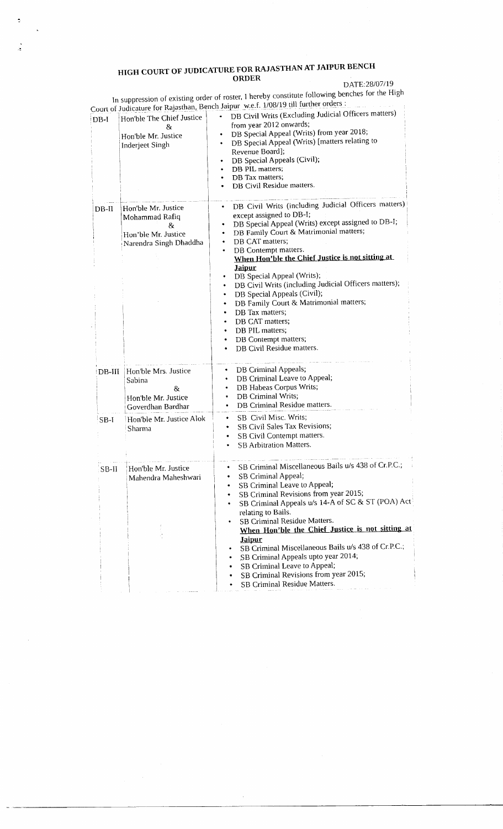## HIGH COURT OF JUDICATURE FOR RAJASTHAN AT JAIPUR BENCH ORDER

 $\ddot{\phi}$ 

 $\ddot{\phantom{a}}$ 

DATE:28/07119

Court oI In suppression of existing order of roster, I hereby constitute following benches for the High  $\sim 100$  Hz  $\sim 100$  Hz further orders : Judicature for Rajasthan, Bench Jaipur w.e.f. 1/08/19 till further orders

| $DB-I$  | Hon'ble The Chief Justice<br>&<br>Hon'ble Mr. Justice<br>Inderjeet Singh                     | DB Civil Writs (Excluding Judicial Officers matters)<br>from year 2012 onwards;<br>DB Special Appeal (Writs) from year 2018;<br>٠<br>DB Special Appeal (Writs) [matters relating to<br>٠<br>Revenue Board];<br>DB Special Appeals (Civil);<br>DB PIL matters;<br>DB Tax matters;<br>٠<br>DB Civil Residue matters.                                                                                                                                                                                                                                                                                                                                         |
|---------|----------------------------------------------------------------------------------------------|------------------------------------------------------------------------------------------------------------------------------------------------------------------------------------------------------------------------------------------------------------------------------------------------------------------------------------------------------------------------------------------------------------------------------------------------------------------------------------------------------------------------------------------------------------------------------------------------------------------------------------------------------------|
| $DB-II$ | Hon'ble Mr. Justice<br>Mohammad Rafiq<br>öκ<br>Hon'ble Mr. Justice<br>Narendra Singh Dhaddha | DB Civil Writs (including Judicial Officers matters)<br>٠<br>except assigned to DB-I;<br>DB Special Appeal (Writs) except assigned to DB-I;<br>DB Family Court & Matrimonial matters;<br>٠<br>DB CAT matters;<br>٠<br>DB Contempt matters.<br>٠<br>When Hon'ble the Chief Justice is not sitting at<br><b>Jaipur</b><br>DB Special Appeal (Writs);<br>$\bullet$<br>DB Civil Writs (including Judicial Officers matters);<br>٠<br>DB Special Appeals (Civil);<br>٠<br>DB Family Court & Matrimonial matters;<br>$\bullet$<br>DB Tax matters;<br>٠<br>DB CAT matters;<br>٠<br>DB PIL matters;<br>٠<br>DB Contempt matters;<br>٠<br>DB Civil Residue matters. |
| DB-III  | Hon'ble Mrs. Justice<br>Sabina<br>&<br>Hon'ble Mr. Justice<br>Goverdhan Bardhar              | DB Criminal Appeals;<br>٠<br>DB Criminal Leave to Appeal;<br>٠<br>DB Habeas Corpus Writs;<br>٠<br>DB Criminal Writs;<br>٠<br>DB Criminal Residue matters.<br>٠                                                                                                                                                                                                                                                                                                                                                                                                                                                                                             |
| $SB-I$  | Hon'ble Mr. Justice Alok<br>Sharma                                                           | SB Civil Misc. Writs;<br>٠<br>SB Civil Sales Tax Revisions;<br>SB Civil Contempt matters.<br>٠<br><b>SB Arbitration Matters.</b>                                                                                                                                                                                                                                                                                                                                                                                                                                                                                                                           |
| $SB-II$ | Hon'ble Mr. Justice<br>Mahendra Maheshwari                                                   | SB Criminal Miscellaneous Bails u/s 438 of Cr.P.C.;<br>SB Criminal Appeal;<br>SB Criminal Leave to Appeal;<br>SB Criminal Revisions from year 2015;<br>SB Criminal Appeals u/s 14-A of SC & ST (POA) Act<br>relating to Bails.<br>SB Criminal Residue Matters.<br>When Hon'ble the Chief Justice is not sitting at<br><b>Jaipur</b><br>SB Criminal Miscellaneous Bails u/s 438 of Cr.P.C.;<br>SB Criminal Appeals upto year 2014;<br>SB Criminal Leave to Appeal;<br>٠<br>SB Criminal Revisions from year 2015;<br>SB Criminal Residue Matters.                                                                                                            |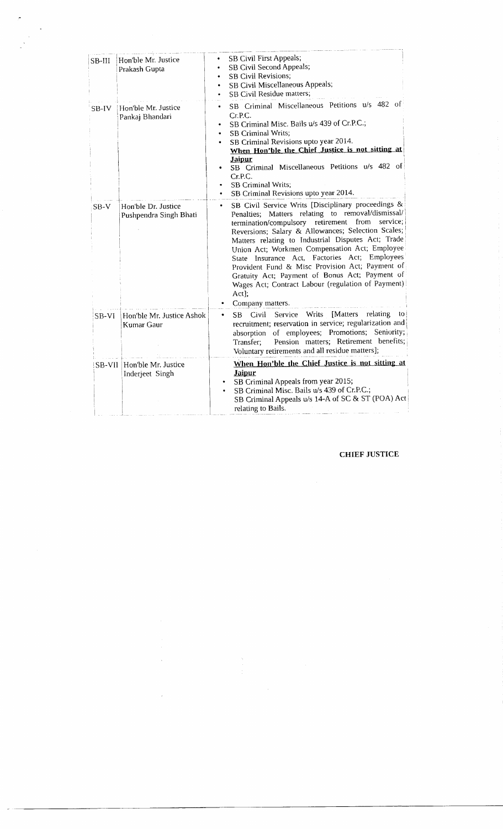| SB-III | Hon'ble Mr. Justice<br>Prakash Gupta          | SB Civil First Appeals;<br>SB Civil Second Appeals;<br><b>SB Civil Revisions;</b><br>SB Civil Miscellaneous Appeals;<br>SB Civil Residue matters;                                                                                                                                                                                                                                                                                                                                                                                                                           |
|--------|-----------------------------------------------|-----------------------------------------------------------------------------------------------------------------------------------------------------------------------------------------------------------------------------------------------------------------------------------------------------------------------------------------------------------------------------------------------------------------------------------------------------------------------------------------------------------------------------------------------------------------------------|
| SB-IV  | Hon'ble Mr. Justice<br>Pankaj Bhandari        | SB Criminal Miscellaneous Petitions u/s 482 of<br>٠<br>Cr.P.C.<br>SB Criminal Misc. Bails u/s 439 of Cr.P.C.;<br>٠<br>SB Criminal Writs;<br>SB Criminal Revisions upto year 2014.<br>When Hon'ble the Chief Justice is not sitting at<br><b>Jaipur</b><br>SB Criminal Miscellaneous Petitions u/s 482 of<br>Cr.P.C.<br>SB Criminal Writs;<br>SB Criminal Revisions upto year 2014.                                                                                                                                                                                          |
| $SB-V$ | Hon'ble Dr. Justice<br>Pushpendra Singh Bhati | SB Civil Service Writs [Disciplinary proceedings &<br>٠<br>Penalties; Matters relating to removal/dismissal/<br>termination/compulsory retirement<br>from<br>service;<br>Reversions; Salary & Allowances; Selection Scales;<br>Matters relating to Industrial Disputes Act; Trade<br>Union Act; Workmen Compensation Act; Employee<br>State Insurance Act, Factories Act; Employees<br>Provident Fund & Misc Provision Act; Payment of<br>Gratuity Act; Payment of Bonus Act; Payment of<br>Wages Act; Contract Labour (regulation of Payment)<br>Act];<br>Company matters. |
| SB-VI  | Hon'ble Mr. Justice Ashok<br>Kumar Gaur       | Writs<br>[Matters<br>relating<br>Service<br>to  <br>Civil<br>SB<br>٠<br>recruitment; reservation in service; regularization and<br>absorption of employees; Promotions; Seniority;<br>Pension matters; Retirement benefits;<br>Transfer;<br>Voluntary retirements and all residue matters];                                                                                                                                                                                                                                                                                 |
|        | SB-VII Hon'ble Mr. Justice<br>Inderjeet Singh | When Hon'ble the Chief Justice is not sitting at<br>Jaipur<br>SB Criminal Appeals from year 2015;<br>SB Criminal Misc. Bails u/s 439 of Cr.P.C.;<br>٠<br>SB Criminal Appeals u/s 14-A of SC & ST (POA) Act<br>relating to Bails.                                                                                                                                                                                                                                                                                                                                            |

## CHIEF JUSTICE